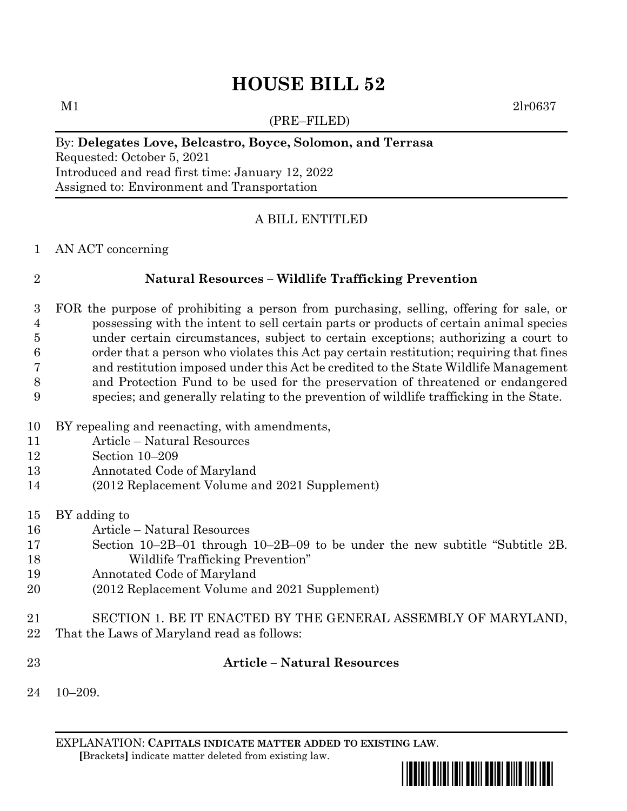# **HOUSE BILL 52**

(PRE–FILED)

 $M1$  2lr0637

### By: **Delegates Love, Belcastro, Boyce, Solomon, and Terrasa**

Requested: October 5, 2021 Introduced and read first time: January 12, 2022 Assigned to: Environment and Transportation

# A BILL ENTITLED

#### AN ACT concerning

### **Natural Resources – Wildlife Trafficking Prevention**

 FOR the purpose of prohibiting a person from purchasing, selling, offering for sale, or possessing with the intent to sell certain parts or products of certain animal species under certain circumstances, subject to certain exceptions; authorizing a court to order that a person who violates this Act pay certain restitution; requiring that fines and restitution imposed under this Act be credited to the State Wildlife Management and Protection Fund to be used for the preservation of threatened or endangered species; and generally relating to the prevention of wildlife trafficking in the State.

- BY repealing and reenacting, with amendments,
- Article Natural Resources
- Section 10–209
- Annotated Code of Maryland
- (2012 Replacement Volume and 2021 Supplement)
- BY adding to
- Article Natural Resources
- Section 10–2B–01 through 10–2B–09 to be under the new subtitle "Subtitle 2B. Wildlife Trafficking Prevention"
- Annotated Code of Maryland
- (2012 Replacement Volume and 2021 Supplement)
- SECTION 1. BE IT ENACTED BY THE GENERAL ASSEMBLY OF MARYLAND, That the Laws of Maryland read as follows:

### **Article – Natural Resources**

10–209.

EXPLANATION: **CAPITALS INDICATE MATTER ADDED TO EXISTING LAW**.  **[**Brackets**]** indicate matter deleted from existing law.

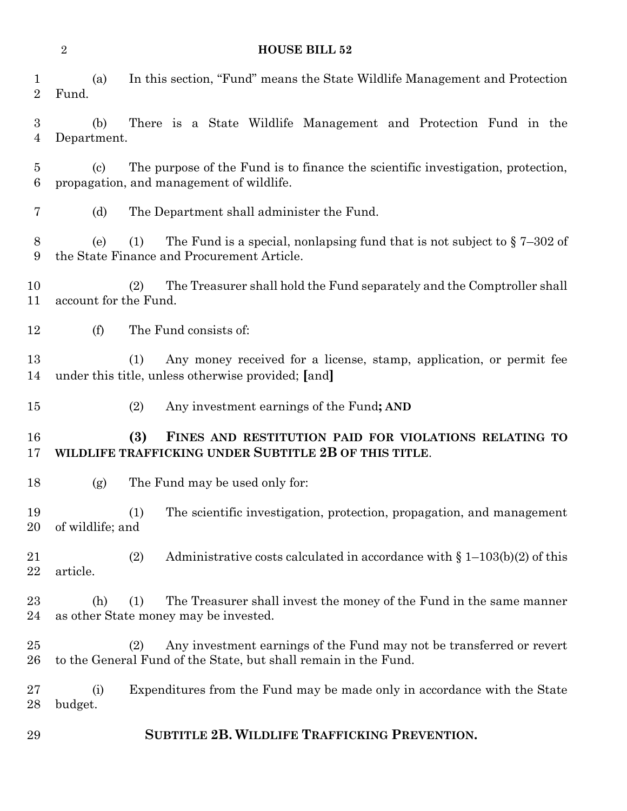#### **HOUSE BILL 52**

| ×           |
|-------------|
| I<br>I<br>ı |
|             |

 (a) In this section, "Fund" means the State Wildlife Management and Protection Fund. (b) There is a State Wildlife Management and Protection Fund in the Department. (c) The purpose of the Fund is to finance the scientific investigation, protection, propagation, and management of wildlife. (d) The Department shall administer the Fund. 8 (e) (1) The Fund is a special, nonlapsing fund that is not subject to  $\S 7-302$  of the State Finance and Procurement Article. (2) The Treasurer shall hold the Fund separately and the Comptroller shall account for the Fund. (f) The Fund consists of: (1) Any money received for a license, stamp, application, or permit fee under this title, unless otherwise provided; **[**and**]** (2) Any investment earnings of the Fund**; AND (3) FINES AND RESTITUTION PAID FOR VIOLATIONS RELATING TO WILDLIFE TRAFFICKING UNDER SUBTITLE 2B OF THIS TITLE**. (g) The Fund may be used only for: (1) The scientific investigation, protection, propagation, and management of wildlife; and (2) Administrative costs calculated in accordance with § 1–103(b)(2) of this article. (h) (1) The Treasurer shall invest the money of the Fund in the same manner as other State money may be invested. (2) Any investment earnings of the Fund may not be transferred or revert to the General Fund of the State, but shall remain in the Fund. (i) Expenditures from the Fund may be made only in accordance with the State budget.

**SUBTITLE 2B. WILDLIFE TRAFFICKING PREVENTION.**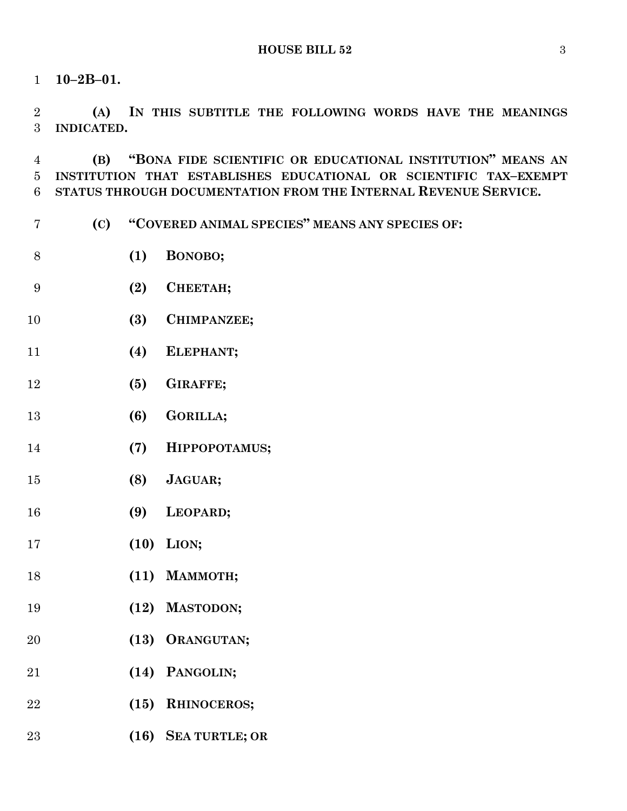**10–2B–01.**

 **(A) IN THIS SUBTITLE THE FOLLOWING WORDS HAVE THE MEANINGS INDICATED.**

 **(B) "BONA FIDE SCIENTIFIC OR EDUCATIONAL INSTITUTION" MEANS AN INSTITUTION THAT ESTABLISHES EDUCATIONAL OR SCIENTIFIC TAX–EXEMPT STATUS THROUGH DOCUMENTATION FROM THE INTERNAL REVENUE SERVICE.**

- **(C) "COVERED ANIMAL SPECIES" MEANS ANY SPECIES OF:**
- **(1) BONOBO;**
- **(2) CHEETAH;**
- **(3) CHIMPANZEE;**
- **(4) ELEPHANT;**
- **(5) GIRAFFE;**
- **(6) GORILLA;**
- **(7) HIPPOPOTAMUS;**
- **(8) JAGUAR;**
- **(9) LEOPARD;**
- **(10) LION;**
- **(11) MAMMOTH;**
- **(12) MASTODON;**
- **(13) ORANGUTAN;**
- **(14) PANGOLIN;**
- **(15) RHINOCEROS;**
- **(16) SEA TURTLE; OR**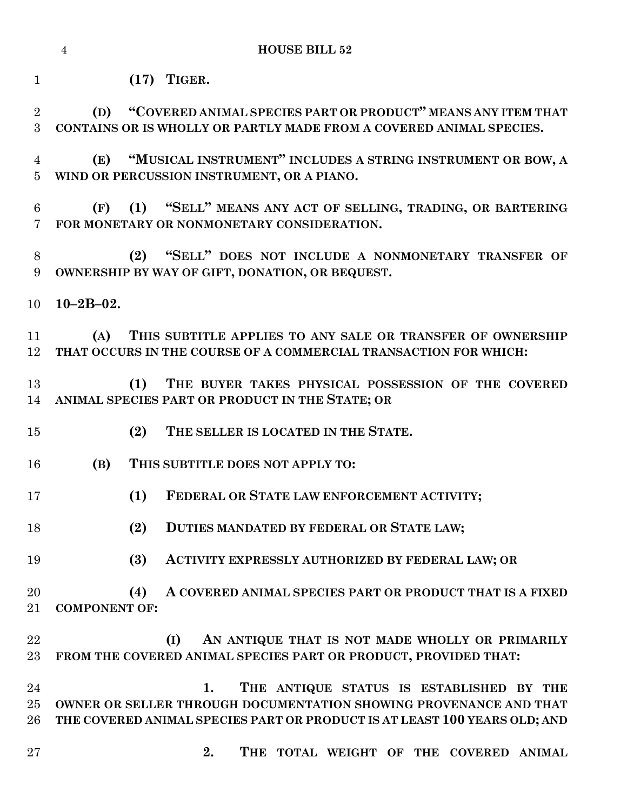**(17) TIGER.**

 **(D) "COVERED ANIMAL SPECIES PART OR PRODUCT" MEANS ANY ITEM THAT CONTAINS OR IS WHOLLY OR PARTLY MADE FROM A COVERED ANIMAL SPECIES. (E) "MUSICAL INSTRUMENT" INCLUDES A STRING INSTRUMENT OR BOW, A WIND OR PERCUSSION INSTRUMENT, OR A PIANO. (F) (1) "SELL" MEANS ANY ACT OF SELLING, TRADING, OR BARTERING FOR MONETARY OR NONMONETARY CONSIDERATION. (2) "SELL" DOES NOT INCLUDE A NONMONETARY TRANSFER OF OWNERSHIP BY WAY OF GIFT, DONATION, OR BEQUEST. 10–2B–02. (A) THIS SUBTITLE APPLIES TO ANY SALE OR TRANSFER OF OWNERSHIP THAT OCCURS IN THE COURSE OF A COMMERCIAL TRANSACTION FOR WHICH: (1) THE BUYER TAKES PHYSICAL POSSESSION OF THE COVERED ANIMAL SPECIES PART OR PRODUCT IN THE STATE; OR (2) THE SELLER IS LOCATED IN THE STATE. (B) THIS SUBTITLE DOES NOT APPLY TO: (1) FEDERAL OR STATE LAW ENFORCEMENT ACTIVITY; (2) DUTIES MANDATED BY FEDERAL OR STATE LAW; (3) ACTIVITY EXPRESSLY AUTHORIZED BY FEDERAL LAW; OR (4) A COVERED ANIMAL SPECIES PART OR PRODUCT THAT IS A FIXED COMPONENT OF: (I) AN ANTIQUE THAT IS NOT MADE WHOLLY OR PRIMARILY FROM THE COVERED ANIMAL SPECIES PART OR PRODUCT, PROVIDED THAT: 1. THE ANTIQUE STATUS IS ESTABLISHED BY THE OWNER OR SELLER THROUGH DOCUMENTATION SHOWING PROVENANCE AND THAT THE COVERED ANIMAL SPECIES PART OR PRODUCT IS AT LEAST 100 YEARS OLD; AND 2. THE TOTAL WEIGHT OF THE COVERED ANIMAL**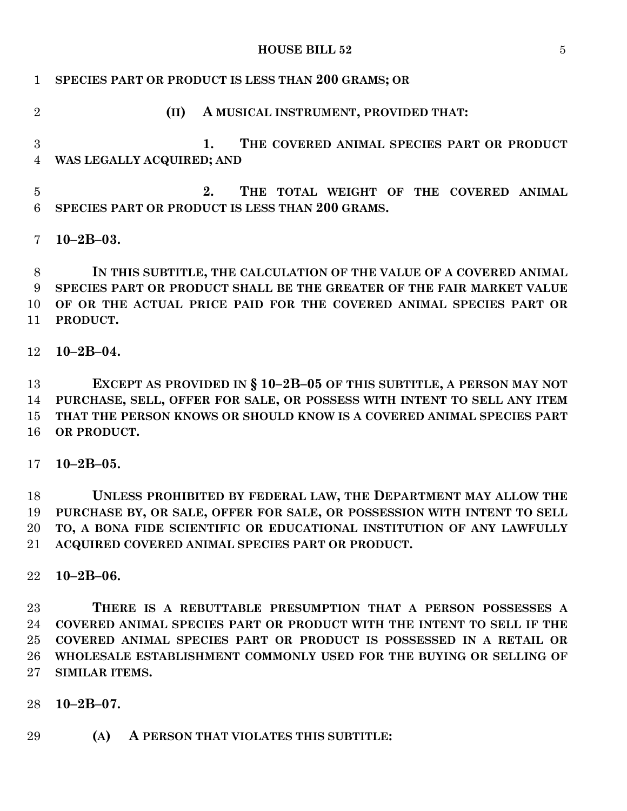**HOUSE BILL 52** 5

| $\mathbf{1}$    | SPECIES PART OR PRODUCT IS LESS THAN 200 GRAMS; OR                      |
|-----------------|-------------------------------------------------------------------------|
| $\overline{2}$  | A MUSICAL INSTRUMENT, PROVIDED THAT:<br>(II)                            |
| $\overline{3}$  | THE COVERED ANIMAL SPECIES PART OR PRODUCT<br>1.                        |
| $\overline{4}$  | WAS LEGALLY ACQUIRED; AND                                               |
| $\overline{5}$  | THE TOTAL WEIGHT OF THE COVERED ANIMAL<br>2.                            |
| 6               | SPECIES PART OR PRODUCT IS LESS THAN 200 GRAMS.                         |
| 7               | $10 - 2B - 03.$                                                         |
| 8               | IN THIS SUBTITLE, THE CALCULATION OF THE VALUE OF A COVERED ANIMAL      |
| 9               | SPECIES PART OR PRODUCT SHALL BE THE GREATER OF THE FAIR MARKET VALUE   |
| 10              | OF OR THE ACTUAL PRICE PAID FOR THE COVERED ANIMAL SPECIES PART OR      |
| 11              | PRODUCT.                                                                |
| 12              | $10 - 2B - 04.$                                                         |
| 13              | EXCEPT AS PROVIDED IN § $10-2B-05$ OF THIS SUBTITLE, A PERSON MAY NOT   |
| 14              | PURCHASE, SELL, OFFER FOR SALE, OR POSSESS WITH INTENT TO SELL ANY ITEM |
| 15              | THAT THE PERSON KNOWS OR SHOULD KNOW IS A COVERED ANIMAL SPECIES PART   |
| 16              | OR PRODUCT.                                                             |
| 17 <sup>7</sup> | $10 - 2B - 05$ .                                                        |
| 18              | UNLESS PROHIBITED BY FEDERAL LAW, THE DEPARTMENT MAY ALLOW THE          |
| 19              | PURCHASE BY, OR SALE, OFFER FOR SALE, OR POSSESSION WITH INTENT TO SELL |
| 20              | TO, A BONA FIDE SCIENTIFIC OR EDUCATIONAL INSTITUTION OF ANY LAWFULLY   |
| $21\,$          | ACQUIRED COVERED ANIMAL SPECIES PART OR PRODUCT.                        |
| 22              | $10 - 2B - 06.$                                                         |
|                 |                                                                         |

 **THERE IS A REBUTTABLE PRESUMPTION THAT A PERSON POSSESSES A COVERED ANIMAL SPECIES PART OR PRODUCT WITH THE INTENT TO SELL IF THE COVERED ANIMAL SPECIES PART OR PRODUCT IS POSSESSED IN A RETAIL OR WHOLESALE ESTABLISHMENT COMMONLY USED FOR THE BUYING OR SELLING OF SIMILAR ITEMS.**

**10–2B–07.**

**(A) A PERSON THAT VIOLATES THIS SUBTITLE:**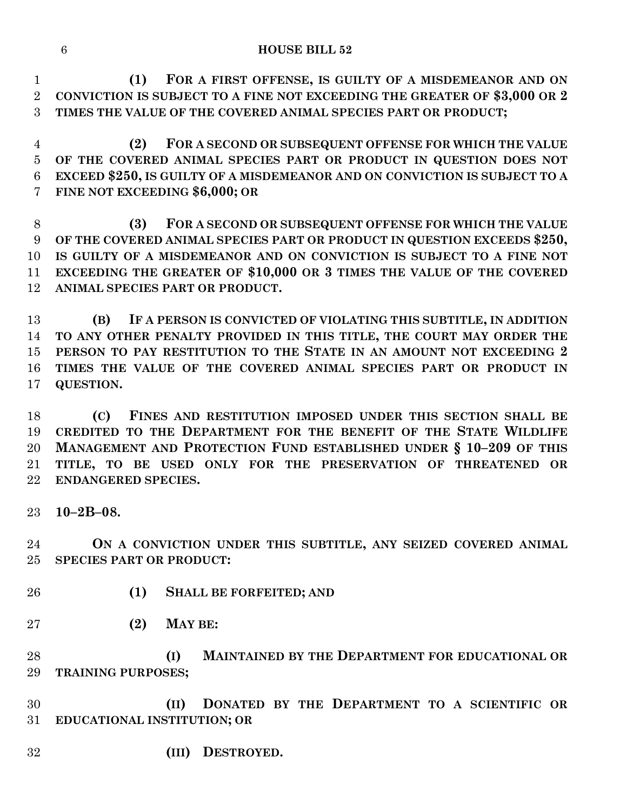**(1) FOR A FIRST OFFENSE, IS GUILTY OF A MISDEMEANOR AND ON CONVICTION IS SUBJECT TO A FINE NOT EXCEEDING THE GREATER OF \$3,000 OR 2 TIMES THE VALUE OF THE COVERED ANIMAL SPECIES PART OR PRODUCT;**

 **(2) FOR A SECOND OR SUBSEQUENT OFFENSE FOR WHICH THE VALUE OF THE COVERED ANIMAL SPECIES PART OR PRODUCT IN QUESTION DOES NOT EXCEED \$250, IS GUILTY OF A MISDEMEANOR AND ON CONVICTION IS SUBJECT TO A FINE NOT EXCEEDING \$6,000; OR**

 **(3) FOR A SECOND OR SUBSEQUENT OFFENSE FOR WHICH THE VALUE OF THE COVERED ANIMAL SPECIES PART OR PRODUCT IN QUESTION EXCEEDS \$250, IS GUILTY OF A MISDEMEANOR AND ON CONVICTION IS SUBJECT TO A FINE NOT EXCEEDING THE GREATER OF \$10,000 OR 3 TIMES THE VALUE OF THE COVERED ANIMAL SPECIES PART OR PRODUCT.**

 **(B) IF A PERSON IS CONVICTED OF VIOLATING THIS SUBTITLE, IN ADDITION TO ANY OTHER PENALTY PROVIDED IN THIS TITLE, THE COURT MAY ORDER THE PERSON TO PAY RESTITUTION TO THE STATE IN AN AMOUNT NOT EXCEEDING 2 TIMES THE VALUE OF THE COVERED ANIMAL SPECIES PART OR PRODUCT IN QUESTION.**

 **(C) FINES AND RESTITUTION IMPOSED UNDER THIS SECTION SHALL BE CREDITED TO THE DEPARTMENT FOR THE BENEFIT OF THE STATE WILDLIFE MANAGEMENT AND PROTECTION FUND ESTABLISHED UNDER § 10–209 OF THIS TITLE, TO BE USED ONLY FOR THE PRESERVATION OF THREATENED OR ENDANGERED SPECIES.**

**10–2B–08.**

 **ON A CONVICTION UNDER THIS SUBTITLE, ANY SEIZED COVERED ANIMAL SPECIES PART OR PRODUCT:**

- **(1) SHALL BE FORFEITED; AND**
- **(2) MAY BE:**

 **(I) MAINTAINED BY THE DEPARTMENT FOR EDUCATIONAL OR TRAINING PURPOSES;**

 **(II) DONATED BY THE DEPARTMENT TO A SCIENTIFIC OR EDUCATIONAL INSTITUTION; OR**

**(III) DESTROYED.**